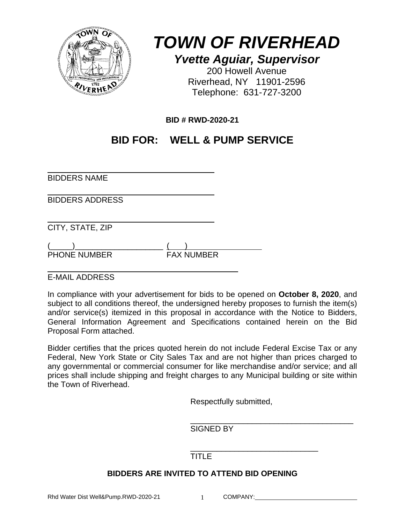

*TOWN OF RIVERHEAD Yvette Aguiar, Supervisor* 

200 Howell Avenue Riverhead, NY 11901-2596 Telephone: 631-727-3200

**BID # RWD-2020-21** 

# **BID FOR: WELL & PUMP SERVICE**

 $\overline{a}$ BIDDERS NAME

 $\overline{a}$ BIDDERS ADDRESS

 $\overline{a}$ CITY, STATE, ZIP

 $(\_\_)$ PHONE NUMBER FAX NUMBER

 $\overline{a}$ E-MAIL ADDRESS

In compliance with your advertisement for bids to be opened on **October 8, 2020**, and subject to all conditions thereof, the undersigned hereby proposes to furnish the item(s) and/or service(s) itemized in this proposal in accordance with the Notice to Bidders, General Information Agreement and Specifications contained herein on the Bid Proposal Form attached.

Bidder certifies that the prices quoted herein do not include Federal Excise Tax or any Federal, New York State or City Sales Tax and are not higher than prices charged to any governmental or commercial consumer for like merchandise and/or service; and all prices shall include shipping and freight charges to any Municipal building or site within the Town of Riverhead.

Respectfully submitted,

 $\overline{\phantom{a}}$  , which is a set of the set of the set of the set of the set of the set of the set of the set of the set of the set of the set of the set of the set of the set of the set of the set of the set of the set of th SIGNED BY

 $\frac{1}{\sqrt{2\pi}}$  ,  $\frac{1}{\sqrt{2\pi}}$  ,  $\frac{1}{\sqrt{2\pi}}$  ,  $\frac{1}{\sqrt{2\pi}}$  ,  $\frac{1}{\sqrt{2\pi}}$  ,  $\frac{1}{\sqrt{2\pi}}$  ,  $\frac{1}{\sqrt{2\pi}}$  ,  $\frac{1}{\sqrt{2\pi}}$  ,  $\frac{1}{\sqrt{2\pi}}$  ,  $\frac{1}{\sqrt{2\pi}}$  ,  $\frac{1}{\sqrt{2\pi}}$  ,  $\frac{1}{\sqrt{2\pi}}$  ,  $\frac{1}{\sqrt{2\pi}}$  , TITLE<sub></sub>

# **BIDDERS ARE INVITED TO ATTEND BID OPENING**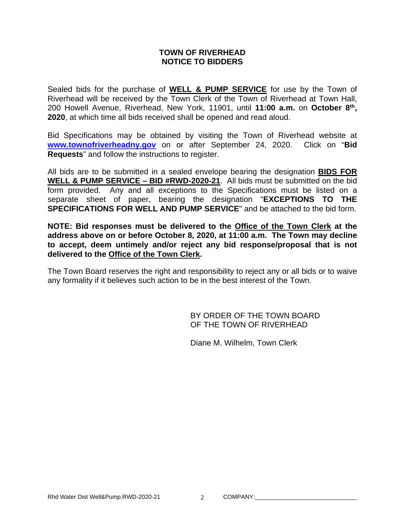#### **TOWN OF RIVERHEAD NOTICE TO BIDDERS**

Sealed bids for the purchase of **WELL & PUMP SERVICE** for use by the Town of Riverhead will be received by the Town Clerk of the Town of Riverhead at Town Hall, 200 Howell Avenue, Riverhead, New York, 11901, until **11:00 a.m.** on **October 8th, 2020**, at which time all bids received shall be opened and read aloud.

Bid Specifications may be obtained by visiting the Town of Riverhead website at **www.townofriverheadny.gov** on or after September 24, 2020. Click on "**Bid Requests**" and follow the instructions to register.

All bids are to be submitted in a sealed envelope bearing the designation **BIDS FOR WELL & PUMP SERVICE – BID #RWD-2020-21**. All bids must be submitted on the bid form provided. Any and all exceptions to the Specifications must be listed on a separate sheet of paper, bearing the designation "**EXCEPTIONS TO THE SPECIFICATIONS FOR WELL AND PUMP SERVICE**" and be attached to the bid form.

**NOTE: Bid responses must be delivered to the Office of the Town Clerk at the address above on or before October 8, 2020, at 11:00 a.m. The Town may decline to accept, deem untimely and/or reject any bid response/proposal that is not delivered to the Office of the Town Clerk.**

The Town Board reserves the right and responsibility to reject any or all bids or to waive any formality if it believes such action to be in the best interest of the Town.

> BY ORDER OF THE TOWN BOARD OF THE TOWN OF RIVERHEAD

Diane M. Wilhelm, Town Clerk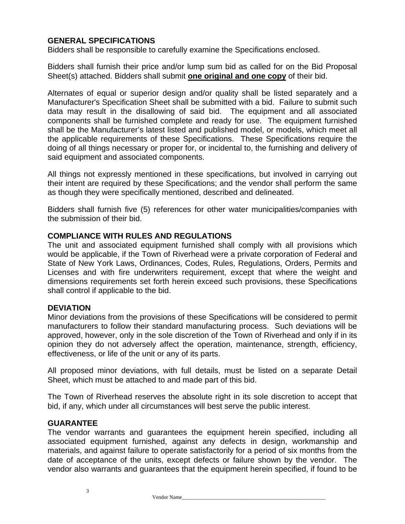# **GENERAL SPECIFICATIONS**

Bidders shall be responsible to carefully examine the Specifications enclosed.

Bidders shall furnish their price and/or lump sum bid as called for on the Bid Proposal Sheet(s) attached. Bidders shall submit **one original and one copy** of their bid.

Alternates of equal or superior design and/or quality shall be listed separately and a Manufacturer's Specification Sheet shall be submitted with a bid. Failure to submit such data may result in the disallowing of said bid. The equipment and all associated components shall be furnished complete and ready for use. The equipment furnished shall be the Manufacturer's latest listed and published model, or models, which meet all the applicable requirements of these Specifications. These Specifications require the doing of all things necessary or proper for, or incidental to, the furnishing and delivery of said equipment and associated components.

All things not expressly mentioned in these specifications, but involved in carrying out their intent are required by these Specifications; and the vendor shall perform the same as though they were specifically mentioned, described and delineated.

Bidders shall furnish five (5) references for other water municipalities/companies with the submission of their bid.

#### **COMPLIANCE WITH RULES AND REGULATIONS**

The unit and associated equipment furnished shall comply with all provisions which would be applicable, if the Town of Riverhead were a private corporation of Federal and State of New York Laws, Ordinances, Codes, Rules, Regulations, Orders, Permits and Licenses and with fire underwriters requirement, except that where the weight and dimensions requirements set forth herein exceed such provisions, these Specifications shall control if applicable to the bid.

#### **DEVIATION**

Minor deviations from the provisions of these Specifications will be considered to permit manufacturers to follow their standard manufacturing process. Such deviations will be approved, however, only in the sole discretion of the Town of Riverhead and only if in its opinion they do not adversely affect the operation, maintenance, strength, efficiency, effectiveness, or life of the unit or any of its parts.

All proposed minor deviations, with full details, must be listed on a separate Detail Sheet, which must be attached to and made part of this bid.

The Town of Riverhead reserves the absolute right in its sole discretion to accept that bid, if any, which under all circumstances will best serve the public interest.

#### **GUARANTEE**

The vendor warrants and guarantees the equipment herein specified, including all associated equipment furnished, against any defects in design, workmanship and materials, and against failure to operate satisfactorily for a period of six months from the date of acceptance of the units, except defects or failure shown by the vendor. The vendor also warrants and guarantees that the equipment herein specified, if found to be

3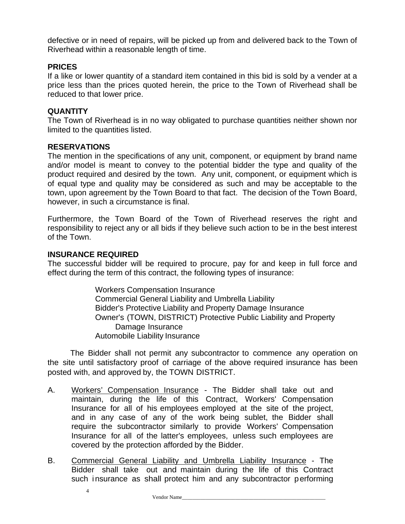defective or in need of repairs, will be picked up from and delivered back to the Town of Riverhead within a reasonable length of time.

#### **PRICES**

If a like or lower quantity of a standard item contained in this bid is sold by a vender at a price less than the prices quoted herein, the price to the Town of Riverhead shall be reduced to that lower price.

#### **QUANTITY**

The Town of Riverhead is in no way obligated to purchase quantities neither shown nor limited to the quantities listed.

#### **RESERVATIONS**

The mention in the specifications of any unit, component, or equipment by brand name and/or model is meant to convey to the potential bidder the type and quality of the product required and desired by the town. Any unit, component, or equipment which is of equal type and quality may be considered as such and may be acceptable to the town, upon agreement by the Town Board to that fact. The decision of the Town Board, however, in such a circumstance is final.

Furthermore, the Town Board of the Town of Riverhead reserves the right and responsibility to reject any or all bids if they believe such action to be in the best interest of the Town.

#### **INSURANCE REQUIRED**

4

The successful bidder will be required to procure, pay for and keep in full force and effect during the term of this contract, the following types of insurance:

> Workers Compensation Insurance Commercial General Liability and Umbrella Liability Bidder's Protective Liability and Property Damage Insurance Owner's (TOWN, DISTRICT) Protective Public Liability and Property Damage Insurance Automobile Liability Insurance

The Bidder shall not permit any subcontractor to commence any operation on the site until satisfactory proof of carriage of the above required insurance has been posted with, and approved by, the TOWN DISTRICT.

- A. Workers' Compensation Insurance The Bidder shall take out and maintain, during the life of this Contract, Workers' Compensation Insurance for all of his employees employed at the site of the project, and in any case of any of the work being sublet, the Bidder shall require the subcontractor similarly to provide Workers' Compensation Insurance for all of the latter's employees, unless such employees are covered by the protection afforded by the Bidder.
- B. Commercial General Liability and Umbrella Liability Insurance The Bidder shall take out and maintain during the life of this Contract such insurance as shall protect him and any subcontractor performing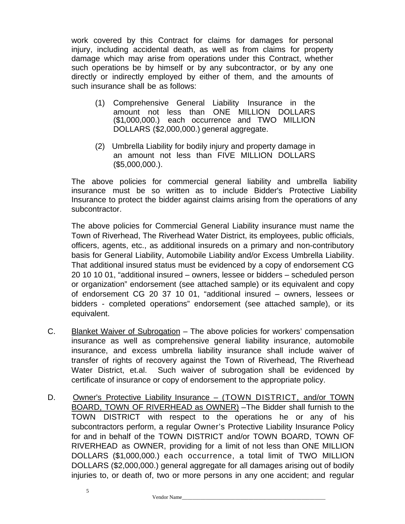work covered by this Contract for claims for damages for personal injury, including accidental death, as well as from claims for property damage which may arise from operations under this Contract, whether such operations be by himself or by any subcontractor, or by any one directly or indirectly employed by either of them, and the amounts of such insurance shall be as follows:

- (1) Comprehensive General Liability Insurance in the amount not less than ONE MILLION DOLLARS (\$1,000,000.) each occurrence and TWO MILLION DOLLARS (\$2,000,000.) general aggregate.
- (2) Umbrella Liability for bodily injury and property damage in an amount not less than FIVE MILLION DOLLARS (\$5,000,000.).

 The above policies for commercial general liability and umbrella liability insurance must be so written as to include Bidder's Protective Liability Insurance to protect the bidder against claims arising from the operations of any subcontractor.

 The above policies for Commercial General Liability insurance must name the Town of Riverhead, The Riverhead Water District, its employees, public officials, officers, agents, etc., as additional insureds on a primary and non-contributory basis for General Liability, Automobile Liability and/or Excess Umbrella Liability. That additional insured status must be evidenced by a copy of endorsement CG 20 10 10 01, "additional insured – owners, lessee or bidders – scheduled person or organization" endorsement (see attached sample) or its equivalent and copy of endorsement CG 20 37 10 01, "additional insured – owners, lessees or bidders - completed operations" endorsement (see attached sample), or its equivalent.

- C. Blanket Waiver of Subrogation The above policies for workers' compensation insurance as well as comprehensive general liability insurance, automobile insurance, and excess umbrella liability insurance shall include waiver of transfer of rights of recovery against the Town of Riverhead, The Riverhead Water District, et.al. Such waiver of subrogation shall be evidenced by certificate of insurance or copy of endorsement to the appropriate policy.
- D. Owner's Protective Liability Insurance (TOWN DISTRICT, and/or TOWN BOARD, TOWN OF RIVERHEAD as OWNER) –The Bidder shall furnish to the TOWN DISTRICT with respect to the operations he or any of his subcontractors perform, a regular Owner's Protective Liability Insurance Policy for and in behalf of the TOWN DISTRICT and/or TOWN BOARD, TOWN OF RIVERHEAD as OWNER, providing for a limit of not less than ONE MILLION DOLLARS (\$1,000,000.) each occurrence, a total limit of TWO MILLION DOLLARS (\$2,000,000.) general aggregate for all damages arising out of bodily injuries to, or death of, two or more persons in any one accident; and regular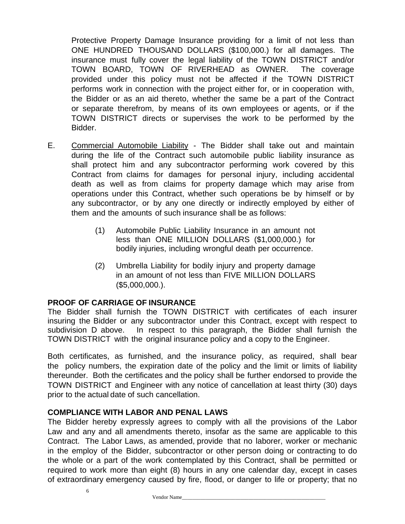Protective Property Damage Insurance providing for a limit of not less than ONE HUNDRED THOUSAND DOLLARS (\$100,000.) for all damages. The insurance must fully cover the legal liability of the TOWN DISTRICT and/or TOWN BOARD, TOWN OF RIVERHEAD as OWNER. The coverage provided under this policy must not be affected if the TOWN DISTRICT performs work in connection with the project either for, or in cooperation with, the Bidder or as an aid thereto, whether the same be a part of the Contract or separate therefrom, by means of its own employees or agents, or if the TOWN DISTRICT directs or supervises the work to be performed by the Bidder.

- E. Commercial Automobile Liability The Bidder shall take out and maintain during the life of the Contract such automobile public liability insurance as shall protect him and any subcontractor performing work covered by this Contract from claims for damages for personal injury, including accidental death as well as from claims for property damage which may arise from operations under this Contract, whether such operations be by himself or by any subcontractor, or by any one directly or indirectly employed by either of them and the amounts of such insurance shall be as follows:
	- (1) Automobile Public Liability Insurance in an amount not less than ONE MILLION DOLLARS (\$1,000,000.) for bodily injuries, including wrongful death per occurrence.
	- (2) Umbrella Liability for bodily injury and property damage in an amount of not less than FIVE MILLION DOLLARS (\$5,000,000.).

#### **PROOF OF CARRIAGE OF INSURANCE**

The Bidder shall furnish the TOWN DISTRICT with certificates of each insurer insuring the Bidder or any subcontractor under this Contract, except with respect to subdivision D above. In respect to this paragraph, the Bidder shall furnish the TOWN DISTRICT with the original insurance policy and a copy to the Engineer.

Both certificates, as furnished, and the insurance policy, as required, shall bear the policy numbers, the expiration date of the policy and the limit or limits of liability thereunder. Both the certificates and the policy shall be further endorsed to provide the TOWN DISTRICT and Engineer with any notice of cancellation at least thirty (30) days prior to the actual date of such cancellation.

#### **COMPLIANCE WITH LABOR AND PENAL LAWS**

6

The Bidder hereby expressly agrees to comply with all the provisions of the Labor Law and any and all amendments thereto, insofar as the same are applicable to this Contract. The Labor Laws, as amended, provide that no laborer, worker or mechanic in the employ of the Bidder, subcontractor or other person doing or contracting to do the whole or a part of the work contemplated by this Contract, shall be permitted or required to work more than eight (8) hours in any one calendar day, except in cases of extraordinary emergency caused by fire, flood, or danger to life or property; that no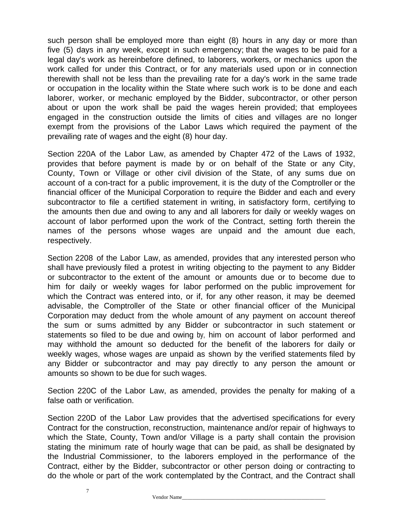such person shall be employed more than eight (8) hours in any day or more than five (5) days in any week, except in such emergency; that the wages to be paid for a legal day's work as hereinbefore defined, to laborers, workers, or mechanics upon the work called for under this Contract, or for any materials used upon or in connection therewith shall not be less than the prevailing rate for a day's work in the same trade or occupation in the locality within the State where such work is to be done and each laborer, worker, or mechanic employed by the Bidder, subcontractor, or other person about or upon the work shall be paid the wages herein provided; that employees engaged in the construction outside the limits of cities and villages are no longer exempt from the provisions of the Labor Laws which required the payment of the prevailing rate of wages and the eight (8) hour day.

Section 220A of the Labor Law, as amended by Chapter 472 of the Laws of 1932, provides that before payment is made by or on behalf of the State or any City, County, Town or Village or other civil division of the State, of any sums due on account of a con-tract for a public improvement, it is the duty of the Comptroller or the financial officer of the Municipal Corporation to require the Bidder and each and every subcontractor to file a certified statement in writing, in satisfactory form, certifying to the amounts then due and owing to any and all laborers for daily or weekly wages on account of labor performed upon the work of the Contract, setting forth therein the names of the persons whose wages are unpaid and the amount due each, respectively.

Section 2208 of the Labor Law, as amended, provides that any interested person who shall have previously filed a protest in writing objecting to the payment to any Bidder or subcontractor to the extent of the amount or amounts due or to become due to him for daily or weekly wages for labor performed on the public improvement for which the Contract was entered into, or if, for any other reason, it may be deemed advisable, the Comptroller of the State or other financial officer of the Municipal Corporation may deduct from the whole amount of any payment on account thereof the sum or sums admitted by any Bidder or subcontractor in such statement or statements so filed to be due and owing by, him on account of labor performed and may withhold the amount so deducted for the benefit of the laborers for daily or weekly wages, whose wages are unpaid as shown by the verified statements filed by any Bidder or subcontractor and may pay directly to any person the amount or amounts so shown to be due for such wages.

Section 220C of the Labor Law, as amended, provides the penalty for making of a false oath or verification.

Section 220D of the Labor Law provides that the advertised specifications for every Contract for the construction, reconstruction, maintenance and/or repair of highways to which the State, County, Town and/or Village is a party shall contain the provision stating the minimum rate of hourly wage that can be paid, as shall be designated by the Industrial Commissioner, to the laborers employed in the performance of the Contract, either by the Bidder, subcontractor or other person doing or contracting to do the whole or part of the work contemplated by the Contract, and the Contract shall

7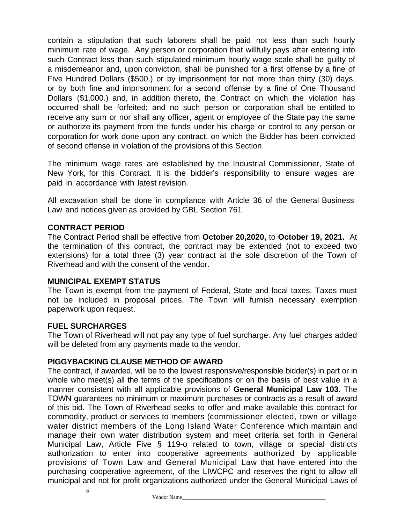contain a stipulation that such laborers shall be paid not less than such hourly minimum rate of wage. Any person or corporation that willfully pays after entering into such Contract less than such stipulated minimum hourly wage scale shall be guilty of a misdemeanor and, upon conviction, shall be punished for a first offense by a fine of Five Hundred Dollars (\$500.) or by imprisonment for not more than thirty (30) days, or by both fine and imprisonment for a second offense by a fine of One Thousand Dollars (\$1,000.) and, in addition thereto, the Contract on which the violation has occurred shall be forfeited; and no such person or corporation shall be entitled to receive any sum or nor shall any officer, agent or employee of the State pay the same or authorize its payment from the funds under his charge or control to any person or corporation for work done upon any contract, on which the Bidder has been convicted of second offense in violation of the provisions of this Section.

The minimum wage rates are established by the Industrial Commissioner, State of New York, for this Contract. It is the bidder's responsibility to ensure wages are paid in accordance with latest revision.

All excavation shall be done in compliance with Article 36 of the General Business Law and notices given as provided by GBL Section 761.

#### **CONTRACT PERIOD**

The Contract Period shall be effective from **October 20,2020,** to **October 19, 2021.** At the termination of this contract, the contract may be extended (not to exceed two extensions) for a total three (3) year contract at the sole discretion of the Town of Riverhead and with the consent of the vendor.

#### **MUNICIPAL EXEMPT STATUS**

The Town is exempt from the payment of Federal, State and local taxes. Taxes must not be included in proposal prices. The Town will furnish necessary exemption paperwork upon request.

#### **FUEL SURCHARGES**

The Town of Riverhead will not pay any type of fuel surcharge. Any fuel charges added will be deleted from any payments made to the vendor.

#### **PIGGYBACKING CLAUSE METHOD OF AWARD**

The contract, if awarded, will be to the lowest responsive/responsible bidder(s) in part or in whole who meet(s) all the terms of the specifications or on the basis of best value in a manner consistent with all applicable provisions of **General Municipal Law 103**. The TOWN guarantees no minimum or maximum purchases or contracts as a result of award of this bid. The Town of Riverhead seeks to offer and make available this contract for commodity, product or services to members (commissioner elected, town or village water district members of the Long Island Water Conference which maintain and manage their own water distribution system and meet criteria set forth in General Municipal Law, Article Five § 119-o related to town, village or special districts authorization to enter into cooperative agreements authorized by applicable provisions of Town Law and General Municipal Law that have entered into the purchasing cooperative agreement, of the LIWCPC and reserves the right to allow all municipal and not for profit organizations authorized under the General Municipal Laws of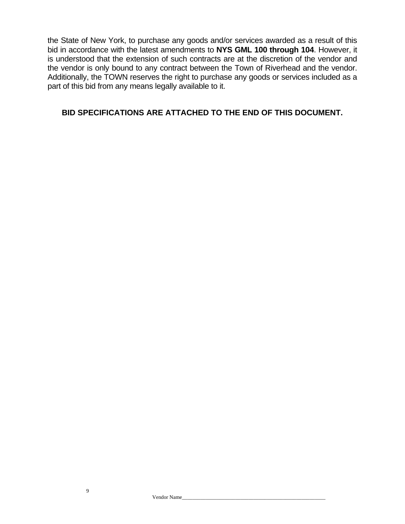the State of New York, to purchase any goods and/or services awarded as a result of this bid in accordance with the latest amendments to **NYS GML 100 through 104**. However, it is understood that the extension of such contracts are at the discretion of the vendor and the vendor is only bound to any contract between the Town of Riverhead and the vendor. Additionally, the TOWN reserves the right to purchase any goods or services included as a part of this bid from any means legally available to it.

### **BID SPECIFICATIONS ARE ATTACHED TO THE END OF THIS DOCUMENT.**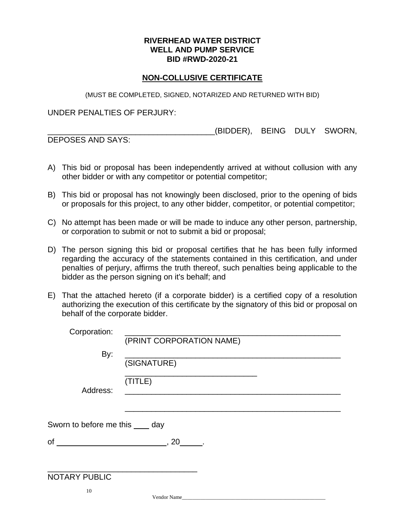#### **NON-COLLUSIVE CERTIFICATE**

(MUST BE COMPLETED, SIGNED, NOTARIZED AND RETURNED WITH BID)

UNDER PENALTIES OF PERJURY:

(BIDDER), BEING DULY SWORN,

DEPOSES AND SAYS:

- A) This bid or proposal has been independently arrived at without collusion with any other bidder or with any competitor or potential competitor;
- B) This bid or proposal has not knowingly been disclosed, prior to the opening of bids or proposals for this project, to any other bidder, competitor, or potential competitor;
- C) No attempt has been made or will be made to induce any other person, partnership, or corporation to submit or not to submit a bid or proposal;
- D) The person signing this bid or proposal certifies that he has been fully informed regarding the accuracy of the statements contained in this certification, and under penalties of perjury, affirms the truth thereof, such penalties being applicable to the bidder as the person signing on it's behalf; and
- E) That the attached hereto (if a corporate bidder) is a certified copy of a resolution authorizing the execution of this certificate by the signatory of this bid or proposal on behalf of the corporate bidder.

| Corporation:                     | (PRINT CORPORATION NAME)                                                                               |
|----------------------------------|--------------------------------------------------------------------------------------------------------|
| By:                              | <u> 1980 - Jan Barbara, manazarta da kasas da shekara 1980 - Andrea Santa Arabska (</u><br>(SIGNATURE) |
| Address:                         | (TITLE)                                                                                                |
| Sworn to before me this ____ day |                                                                                                        |
|                                  | 20                                                                                                     |
|                                  |                                                                                                        |
| <b>NOTARY PUBLIC</b>             |                                                                                                        |
| 10                               | Vendor Name                                                                                            |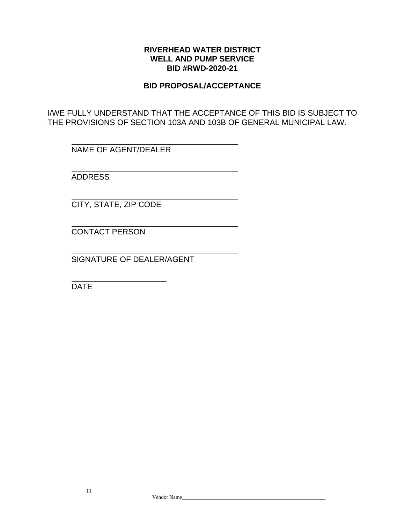#### **BID PROPOSAL/ACCEPTANCE**

I/WE FULLY UNDERSTAND THAT THE ACCEPTANCE OF THIS BID IS SUBJECT TO THE PROVISIONS OF SECTION 103A AND 103B OF GENERAL MUNICIPAL LAW.

NAME OF AGENT/DEALER

ADDRESS

CITY, STATE, ZIP CODE

CONTACT PERSON

SIGNATURE OF DEALER/AGENT

DATE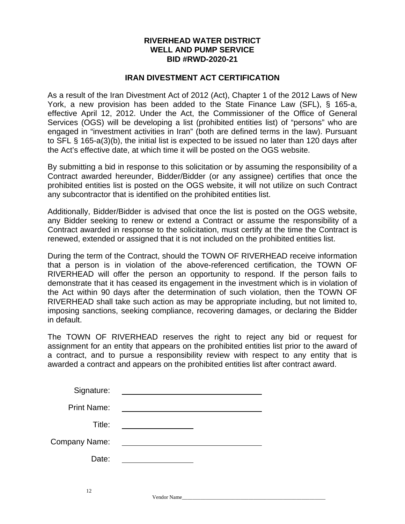#### **IRAN DIVESTMENT ACT CERTIFICATION**

As a result of the Iran Divestment Act of 2012 (Act), Chapter 1 of the 2012 Laws of New York, a new provision has been added to the State Finance Law (SFL), § 165-a, effective April 12, 2012. Under the Act, the Commissioner of the Office of General Services (OGS) will be developing a list (prohibited entities list) of "persons" who are engaged in "investment activities in Iran" (both are defined terms in the law). Pursuant to SFL § 165-a(3)(b), the initial list is expected to be issued no later than 120 days after the Act's effective date, at which time it will be posted on the OGS website.

By submitting a bid in response to this solicitation or by assuming the responsibility of a Contract awarded hereunder, Bidder/Bidder (or any assignee) certifies that once the prohibited entities list is posted on the OGS website, it will not utilize on such Contract any subcontractor that is identified on the prohibited entities list.

Additionally, Bidder/Bidder is advised that once the list is posted on the OGS website, any Bidder seeking to renew or extend a Contract or assume the responsibility of a Contract awarded in response to the solicitation, must certify at the time the Contract is renewed, extended or assigned that it is not included on the prohibited entities list.

During the term of the Contract, should the TOWN OF RIVERHEAD receive information that a person is in violation of the above-referenced certification, the TOWN OF RIVERHEAD will offer the person an opportunity to respond. If the person fails to demonstrate that it has ceased its engagement in the investment which is in violation of the Act within 90 days after the determination of such violation, then the TOWN OF RIVERHEAD shall take such action as may be appropriate including, but not limited to, imposing sanctions, seeking compliance, recovering damages, or declaring the Bidder in default.

The TOWN OF RIVERHEAD reserves the right to reject any bid or request for assignment for an entity that appears on the prohibited entities list prior to the award of a contract, and to pursue a responsibility review with respect to any entity that is awarded a contract and appears on the prohibited entities list after contract award.

| Signature:         |  |
|--------------------|--|
| <b>Print Name:</b> |  |
| Title:             |  |
| Company Name:      |  |
| Date:              |  |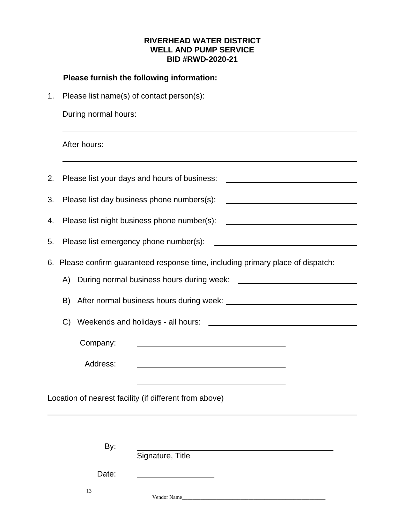# **Please furnish the following information:**

1. Please list name(s) of contact person(s):

During normal hours:

After hours:

| 2. |          | Please list your days and hours of business:<br><u> 1989 - Johann Barbara, martin amerikan basal da</u>                                                                                                                        |
|----|----------|--------------------------------------------------------------------------------------------------------------------------------------------------------------------------------------------------------------------------------|
| 3. |          | Please list day business phone numbers(s):                                                                                                                                                                                     |
| 4. |          | Please list night business phone number(s):<br><u> 1989 - Johann Barn, mars et al. (b. 1989)</u>                                                                                                                               |
| 5. |          |                                                                                                                                                                                                                                |
| 6. |          | Please confirm guaranteed response time, including primary place of dispatch:                                                                                                                                                  |
|    | A)       | During normal business hours during week: During management of the state of the state of the state of the state of the state of the state of the state of the state of the state of the state of the state of the state of the |
|    | B)       |                                                                                                                                                                                                                                |
|    | C)       |                                                                                                                                                                                                                                |
|    | Company: |                                                                                                                                                                                                                                |
|    | Address: |                                                                                                                                                                                                                                |
|    |          | Location of nearest facility (if different from above)                                                                                                                                                                         |
|    | By:      | Signature, Title                                                                                                                                                                                                               |
|    | Date:    |                                                                                                                                                                                                                                |
|    | 13       | Vendor Name                                                                                                                                                                                                                    |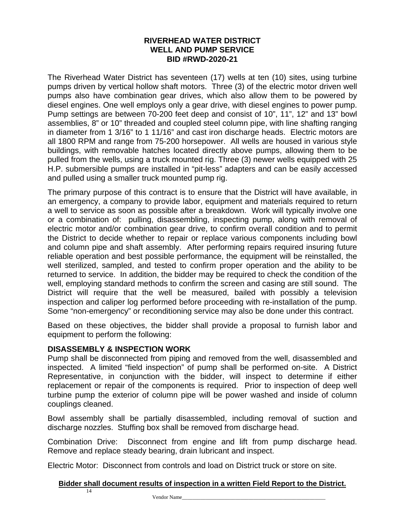The Riverhead Water District has seventeen (17) wells at ten (10) sites, using turbine pumps driven by vertical hollow shaft motors. Three (3) of the electric motor driven well pumps also have combination gear drives, which also allow them to be powered by diesel engines. One well employs only a gear drive, with diesel engines to power pump. Pump settings are between 70-200 feet deep and consist of 10", 11", 12" and 13" bowl assemblies, 8" or 10" threaded and coupled steel column pipe, with line shafting ranging in diameter from 1 3/16" to 1 11/16" and cast iron discharge heads. Electric motors are all 1800 RPM and range from 75-200 horsepower. All wells are housed in various style buildings, with removable hatches located directly above pumps, allowing them to be pulled from the wells, using a truck mounted rig. Three (3) newer wells equipped with 25 H.P. submersible pumps are installed in "pit-less" adapters and can be easily accessed and pulled using a smaller truck mounted pump rig.

The primary purpose of this contract is to ensure that the District will have available, in an emergency, a company to provide labor, equipment and materials required to return a well to service as soon as possible after a breakdown. Work will typically involve one or a combination of: pulling, disassembling, inspecting pump, along with removal of electric motor and/or combination gear drive, to confirm overall condition and to permit the District to decide whether to repair or replace various components including bowl and column pipe and shaft assembly. After performing repairs required insuring future reliable operation and best possible performance, the equipment will be reinstalled, the well sterilized, sampled, and tested to confirm proper operation and the ability to be returned to service. In addition, the bidder may be required to check the condition of the well, employing standard methods to confirm the screen and casing are still sound. The District will require that the well be measured, bailed with possibly a television inspection and caliper log performed before proceeding with re-installation of the pump. Some "non-emergency" or reconditioning service may also be done under this contract.

Based on these objectives, the bidder shall provide a proposal to furnish labor and equipment to perform the following:

#### **DISASSEMBLY & INSPECTION WORK**

Pump shall be disconnected from piping and removed from the well, disassembled and inspected. A limited "field inspection" of pump shall be performed on-site. A District Representative, in conjunction with the bidder, will inspect to determine if either replacement or repair of the components is required. Prior to inspection of deep well turbine pump the exterior of column pipe will be power washed and inside of column couplings cleaned.

Bowl assembly shall be partially disassembled, including removal of suction and discharge nozzles. Stuffing box shall be removed from discharge head.

Combination Drive: Disconnect from engine and lift from pump discharge head. Remove and replace steady bearing, drain lubricant and inspect.

Electric Motor: Disconnect from controls and load on District truck or store on site.

#### 14 **Bidder shall document results of inspection in a written Field Report to the District.**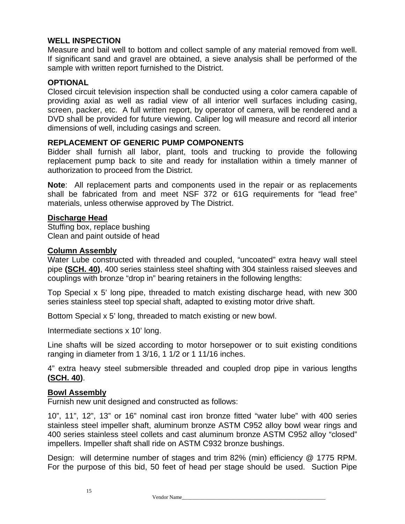#### **WELL INSPECTION**

Measure and bail well to bottom and collect sample of any material removed from well. If significant sand and gravel are obtained, a sieve analysis shall be performed of the sample with written report furnished to the District.

#### **OPTIONAL**

Closed circuit television inspection shall be conducted using a color camera capable of providing axial as well as radial view of all interior well surfaces including casing, screen, packer, etc. A full written report, by operator of camera, will be rendered and a DVD shall be provided for future viewing. Caliper log will measure and record all interior dimensions of well, including casings and screen.

#### **REPLACEMENT OF GENERIC PUMP COMPONENTS**

Bidder shall furnish all labor, plant, tools and trucking to provide the following replacement pump back to site and ready for installation within a timely manner of authorization to proceed from the District.

**Note**: All replacement parts and components used in the repair or as replacements shall be fabricated from and meet NSF 372 or 61G requirements for "lead free" materials, unless otherwise approved by The District.

#### **Discharge Head**

Stuffing box, replace bushing Clean and paint outside of head

#### **Column Assembly**

Water Lube constructed with threaded and coupled, "uncoated" extra heavy wall steel pipe **(SCH. 40)**, 400 series stainless steel shafting with 304 stainless raised sleeves and couplings with bronze "drop in" bearing retainers in the following lengths:

Top Special x 5' long pipe, threaded to match existing discharge head, with new 300 series stainless steel top special shaft, adapted to existing motor drive shaft.

Bottom Special x 5' long, threaded to match existing or new bowl.

Intermediate sections x 10' long.

Line shafts will be sized according to motor horsepower or to suit existing conditions ranging in diameter from 1 3/16, 1 1/2 or 1 11/16 inches.

4" extra heavy steel submersible threaded and coupled drop pipe in various lengths **(SCH. 40)**.

#### **Bowl Assembly**

Furnish new unit designed and constructed as follows:

10", 11", 12", 13" or 16" nominal cast iron bronze fitted "water lube" with 400 series stainless steel impeller shaft, aluminum bronze ASTM C952 alloy bowl wear rings and 400 series stainless steel collets and cast aluminum bronze ASTM C952 alloy "closed" impellers. Impeller shaft shall ride on ASTM C932 bronze bushings.

Design: will determine number of stages and trim 82% (min) efficiency @ 1775 RPM. For the purpose of this bid, 50 feet of head per stage should be used. Suction Pipe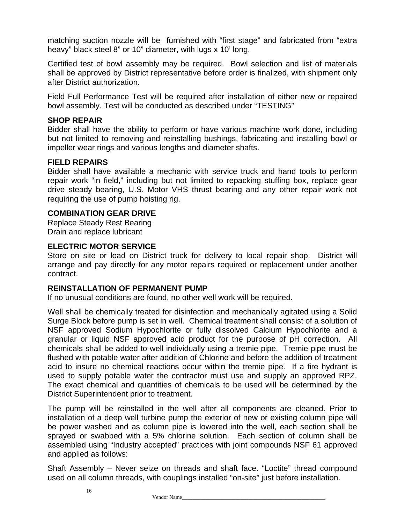matching suction nozzle will be furnished with "first stage" and fabricated from "extra heavy" black steel 8" or 10" diameter, with lugs x 10' long.

Certified test of bowl assembly may be required. Bowl selection and list of materials shall be approved by District representative before order is finalized, with shipment only after District authorization.

Field Full Performance Test will be required after installation of either new or repaired bowl assembly. Test will be conducted as described under "TESTING"

#### **SHOP REPAIR**

Bidder shall have the ability to perform or have various machine work done, including but not limited to removing and reinstalling bushings, fabricating and installing bowl or impeller wear rings and various lengths and diameter shafts.

#### **FIELD REPAIRS**

Bidder shall have available a mechanic with service truck and hand tools to perform repair work "in field," including but not limited to repacking stuffing box, replace gear drive steady bearing, U.S. Motor VHS thrust bearing and any other repair work not requiring the use of pump hoisting rig.

#### **COMBINATION GEAR DRIVE**

Replace Steady Rest Bearing Drain and replace lubricant

#### **ELECTRIC MOTOR SERVICE**

Store on site or load on District truck for delivery to local repair shop. District will arrange and pay directly for any motor repairs required or replacement under another contract.

#### **REINSTALLATION OF PERMANENT PUMP**

If no unusual conditions are found, no other well work will be required.

Well shall be chemically treated for disinfection and mechanically agitated using a Solid Surge Block before pump is set in well. Chemical treatment shall consist of a solution of NSF approved Sodium Hypochlorite or fully dissolved Calcium Hypochlorite and a granular or liquid NSF approved acid product for the purpose of pH correction. All chemicals shall be added to well individually using a tremie pipe. Tremie pipe must be flushed with potable water after addition of Chlorine and before the addition of treatment acid to insure no chemical reactions occur within the tremie pipe. If a fire hydrant is used to supply potable water the contractor must use and supply an approved RPZ. The exact chemical and quantities of chemicals to be used will be determined by the District Superintendent prior to treatment.

The pump will be reinstalled in the well after all components are cleaned. Prior to installation of a deep well turbine pump the exterior of new or existing column pipe will be power washed and as column pipe is lowered into the well, each section shall be sprayed or swabbed with a 5% chlorine solution. Each section of column shall be assembled using "Industry accepted" practices with joint compounds NSF 61 approved and applied as follows:

Shaft Assembly – Never seize on threads and shaft face. "Loctite" thread compound used on all column threads, with couplings installed "on-site" just before installation.

Vendor Name\_\_\_\_\_\_\_\_\_\_\_\_\_\_\_\_\_\_\_\_\_\_\_\_\_\_\_\_\_\_\_\_\_\_\_\_\_\_\_\_\_\_\_\_\_\_\_\_\_\_\_\_\_\_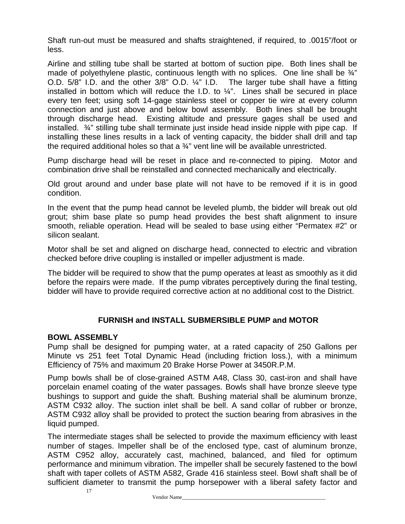Shaft run-out must be measured and shafts straightened, if required, to .0015"/foot or less.

Airline and stilling tube shall be started at bottom of suction pipe. Both lines shall be made of polyethylene plastic, continuous length with no splices. One line shall be  $\frac{3}{4}$ " O.D. 5/8" I.D. and the other 3/8" O.D. ¼" I.D. The larger tube shall have a fitting installed in bottom which will reduce the I.D. to  $\frac{1}{4}$ ". Lines shall be secured in place every ten feet; using soft 14-gage stainless steel or copper tie wire at every column connection and just above and below bowl assembly. Both lines shall be brought through discharge head. Existing altitude and pressure gages shall be used and installed.  $\frac{3}{4}$ " stilling tube shall terminate just inside head inside nipple with pipe cap. If installing these lines results in a lack of venting capacity, the bidder shall drill and tap the required additional holes so that a  $\frac{3}{4}$ " vent line will be available unrestricted.

Pump discharge head will be reset in place and re-connected to piping. Motor and combination drive shall be reinstalled and connected mechanically and electrically.

Old grout around and under base plate will not have to be removed if it is in good condition.

In the event that the pump head cannot be leveled plumb, the bidder will break out old grout; shim base plate so pump head provides the best shaft alignment to insure smooth, reliable operation. Head will be sealed to base using either "Permatex #2" or silicon sealant.

Motor shall be set and aligned on discharge head, connected to electric and vibration checked before drive coupling is installed or impeller adjustment is made.

The bidder will be required to show that the pump operates at least as smoothly as it did before the repairs were made. If the pump vibrates perceptively during the final testing, bidder will have to provide required corrective action at no additional cost to the District.

#### **FURNISH and INSTALL SUBMERSIBLE PUMP and MOTOR**

#### **BOWL ASSEMBLY**

Pump shall be designed for pumping water, at a rated capacity of 250 Gallons per Minute vs 251 feet Total Dynamic Head (including friction loss.), with a minimum Efficiency of 75% and maximum 20 Brake Horse Power at 3450R.P.M.

Pump bowls shall be of close-grained ASTM A48, Class 30, cast-iron and shall have porcelain enamel coating of the water passages. Bowls shall have bronze sleeve type bushings to support and guide the shaft. Bushing material shall be aluminum bronze, ASTM C932 alloy. The suction inlet shall be bell. A sand collar of rubber or bronze, ASTM C932 alloy shall be provided to protect the suction bearing from abrasives in the liquid pumped.

The intermediate stages shall be selected to provide the maximum efficiency with least number of stages. Impeller shall be of the enclosed type, cast of aluminum bronze, ASTM C952 alloy, accurately cast, machined, balanced, and filed for optimum performance and minimum vibration. The impeller shall be securely fastened to the bowl shaft with taper collets of ASTM A582, Grade 416 stainless steel. Bowl shaft shall be of sufficient diameter to transmit the pump horsepower with a liberal safety factor and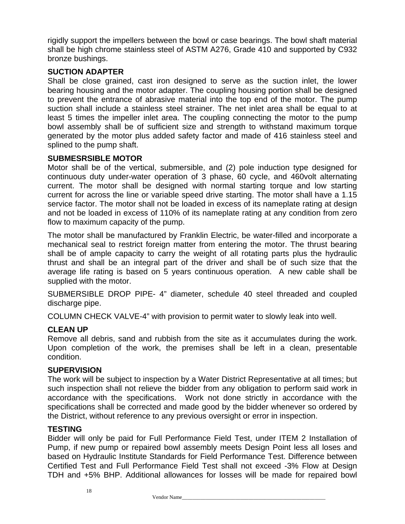rigidly support the impellers between the bowl or case bearings. The bowl shaft material shall be high chrome stainless steel of ASTM A276, Grade 410 and supported by C932 bronze bushings.

#### **SUCTION ADAPTER**

Shall be close grained, cast iron designed to serve as the suction inlet, the lower bearing housing and the motor adapter. The coupling housing portion shall be designed to prevent the entrance of abrasive material into the top end of the motor. The pump suction shall include a stainless steel strainer. The net inlet area shall be equal to at least 5 times the impeller inlet area. The coupling connecting the motor to the pump bowl assembly shall be of sufficient size and strength to withstand maximum torque generated by the motor plus added safety factor and made of 416 stainless steel and splined to the pump shaft.

#### **SUBMESRSIBLE MOTOR**

Motor shall be of the vertical, submersible, and (2) pole induction type designed for continuous duty under-water operation of 3 phase, 60 cycle, and 460volt alternating current. The motor shall be designed with normal starting torque and low starting current for across the line or variable speed drive starting. The motor shall have a 1.15 service factor. The motor shall not be loaded in excess of its nameplate rating at design and not be loaded in excess of 110% of its nameplate rating at any condition from zero flow to maximum capacity of the pump.

The motor shall be manufactured by Franklin Electric, be water-filled and incorporate a mechanical seal to restrict foreign matter from entering the motor. The thrust bearing shall be of ample capacity to carry the weight of all rotating parts plus the hydraulic thrust and shall be an integral part of the driver and shall be of such size that the average life rating is based on 5 years continuous operation. A new cable shall be supplied with the motor.

SUBMERSIBLE DROP PIPE- 4" diameter, schedule 40 steel threaded and coupled discharge pipe.

COLUMN CHECK VALVE-4" with provision to permit water to slowly leak into well.

# **CLEAN UP**

Remove all debris, sand and rubbish from the site as it accumulates during the work. Upon completion of the work, the premises shall be left in a clean, presentable condition.

#### **SUPERVISION**

The work will be subject to inspection by a Water District Representative at all times; but such inspection shall not relieve the bidder from any obligation to perform said work in accordance with the specifications. Work not done strictly in accordance with the specifications shall be corrected and made good by the bidder whenever so ordered by the District, without reference to any previous oversight or error in inspection.

#### **TESTING**

Bidder will only be paid for Full Performance Field Test, under ITEM 2 Installation of Pump, if new pump or repaired bowl assembly meets Design Point less all loses and based on Hydraulic Institute Standards for Field Performance Test. Difference between Certified Test and Full Performance Field Test shall not exceed -3% Flow at Design TDH and +5% BHP. Additional allowances for losses will be made for repaired bowl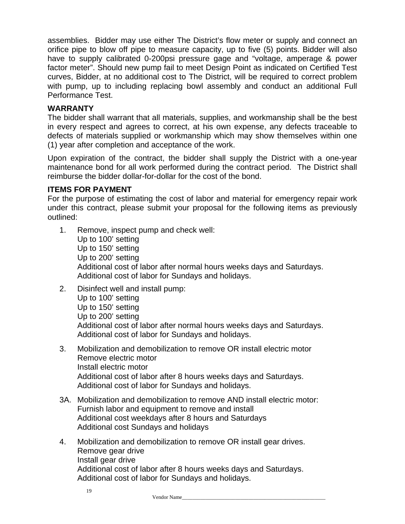assemblies. Bidder may use either The District's flow meter or supply and connect an orifice pipe to blow off pipe to measure capacity, up to five (5) points. Bidder will also have to supply calibrated 0-200psi pressure gage and "voltage, amperage & power factor meter". Should new pump fail to meet Design Point as indicated on Certified Test curves, Bidder, at no additional cost to The District, will be required to correct problem with pump, up to including replacing bowl assembly and conduct an additional Full Performance Test.

#### **WARRANTY**

The bidder shall warrant that all materials, supplies, and workmanship shall be the best in every respect and agrees to correct, at his own expense, any defects traceable to defects of materials supplied or workmanship which may show themselves within one (1) year after completion and acceptance of the work.

Upon expiration of the contract, the bidder shall supply the District with a one-year maintenance bond for all work performed during the contract period. The District shall reimburse the bidder dollar-for-dollar for the cost of the bond.

#### **ITEMS FOR PAYMENT**

For the purpose of estimating the cost of labor and material for emergency repair work under this contract, please submit your proposal for the following items as previously outlined:

- 1. Remove, inspect pump and check well: Up to 100' setting Up to 150' setting Up to 200' setting Additional cost of labor after normal hours weeks days and Saturdays. Additional cost of labor for Sundays and holidays.
- 2. Disinfect well and install pump: Up to 100' setting Up to 150' setting Up to 200' setting Additional cost of labor after normal hours weeks days and Saturdays. Additional cost of labor for Sundays and holidays.
- 3. Mobilization and demobilization to remove OR install electric motor Remove electric motor Install electric motor Additional cost of labor after 8 hours weeks days and Saturdays. Additional cost of labor for Sundays and holidays.
- 3A. Mobilization and demobilization to remove AND install electric motor: Furnish labor and equipment to remove and install Additional cost weekdays after 8 hours and Saturdays Additional cost Sundays and holidays
- 4. Mobilization and demobilization to remove OR install gear drives. Remove gear drive Install gear drive Additional cost of labor after 8 hours weeks days and Saturdays. Additional cost of labor for Sundays and holidays.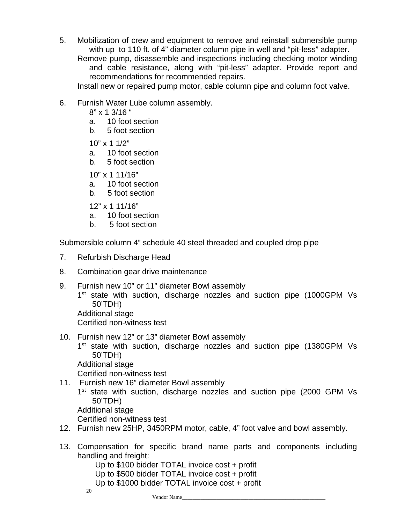5. Mobilization of crew and equipment to remove and reinstall submersible pump with up to 110 ft. of 4" diameter column pipe in well and "pit-less" adapter. Remove pump, disassemble and inspections including checking motor winding and cable resistance, along with "pit-less" adapter. Provide report and recommendations for recommended repairs.

Install new or repaired pump motor, cable column pipe and column foot valve.

- 6. Furnish Water Lube column assembly.
	- 8" x 1 3/16 "
	- a. 10 foot section
	- b. 5 foot section
	- 10" x 1 1/2"
	- a. 10 foot section
	- b. 5 foot section
	- 10" x 1 11/16"
	- a. 10 foot section
	- b. 5 foot section
	- 12" x 1 11/16"
	- a. 10 foot section
	- b. 5 foot section

Submersible column 4" schedule 40 steel threaded and coupled drop pipe

- 7. Refurbish Discharge Head
- 8. Combination gear drive maintenance
- 9. Furnish new 10" or 11" diameter Bowl assembly 1<sup>st</sup> state with suction, discharge nozzles and suction pipe (1000GPM Vs 50'TDH) Additional stage Certified non-witness test
- 10. Furnish new 12" or 13" diameter Bowl assembly 1<sup>st</sup> state with suction, discharge nozzles and suction pipe (1380GPM Vs 50'TDH) Additional stage Certified non-witness test
- 11. Furnish new 16" diameter Bowl assembly 1<sup>st</sup> state with suction, discharge nozzles and suction pipe (2000 GPM Vs 50'TDH) Additional stage Certified non-witness test
- 12. Furnish new 25HP, 3450RPM motor, cable, 4" foot valve and bowl assembly.
- 13. Compensation for specific brand name parts and components including handling and freight:

Up to \$100 bidder TOTAL invoice cost + profit

- Up to \$500 bidder TOTAL invoice cost + profit
- Up to \$1000 bidder TOTAL invoice cost + profit

20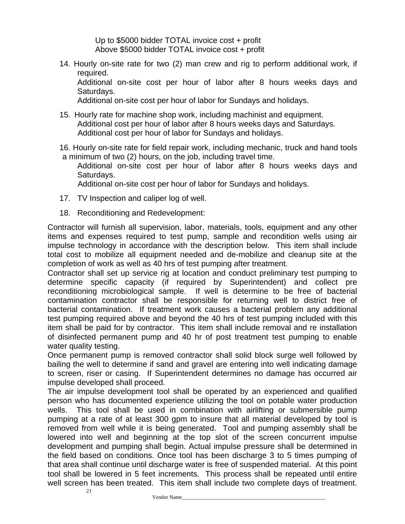Up to \$5000 bidder TOTAL invoice cost + profit Above \$5000 bidder TOTAL invoice cost + profit

14. Hourly on-site rate for two (2) man crew and rig to perform additional work, if required. Additional on-site cost per hour of labor after 8 hours weeks days and Saturdays.

Additional on-site cost per hour of labor for Sundays and holidays.

- 15. Hourly rate for machine shop work, including machinist and equipment. Additional cost per hour of labor after 8 hours weeks days and Saturdays. Additional cost per hour of labor for Sundays and holidays.
- 16. Hourly on-site rate for field repair work, including mechanic, truck and hand tools a minimum of two (2) hours, on the job, including travel time.
	- Additional on-site cost per hour of labor after 8 hours weeks days and Saturdays.

Additional on-site cost per hour of labor for Sundays and holidays.

- 17. TV Inspection and caliper log of well.
- 18. Reconditioning and Redevelopment:

Contractor will furnish all supervision, labor, materials, tools, equipment and any other items and expenses required to test pump, sample and recondition wells using air impulse technology in accordance with the description below. This item shall include total cost to mobilize all equipment needed and de-mobilize and cleanup site at the completion of work as well as 40 hrs of test pumping after treatment.

Contractor shall set up service rig at location and conduct preliminary test pumping to determine specific capacity (if required by Superintendent) and collect pre reconditioning microbiological sample. If well is determine to be free of bacterial contamination contractor shall be responsible for returning well to district free of bacterial contamination. If treatment work causes a bacterial problem any additional test pumping required above and beyond the 40 hrs of test pumping included with this item shall be paid for by contractor. This item shall include removal and re installation of disinfected permanent pump and 40 hr of post treatment test pumping to enable water quality testing.

Once permanent pump is removed contractor shall solid block surge well followed by bailing the well to determine if sand and gravel are entering into well indicating damage to screen, riser or casing. If Superintendent determines no damage has occurred air impulse developed shall proceed.

The air impulse development tool shall be operated by an experienced and qualified person who has documented experience utilizing the tool on potable water production wells. This tool shall be used in combination with airlifting or submersible pump pumping at a rate of at least 300 gpm to insure that all material developed by tool is removed from well while it is being generated. Tool and pumping assembly shall be lowered into well and beginning at the top slot of the screen concurrent impulse development and pumping shall begin. Actual impulse pressure shall be determined in the field based on conditions. Once tool has been discharge 3 to 5 times pumping of that area shall continue until discharge water is free of suspended material. At this point tool shall be lowered in 5 feet increments. This process shall be repeated until entire well screen has been treated. This item shall include two complete days of treatment.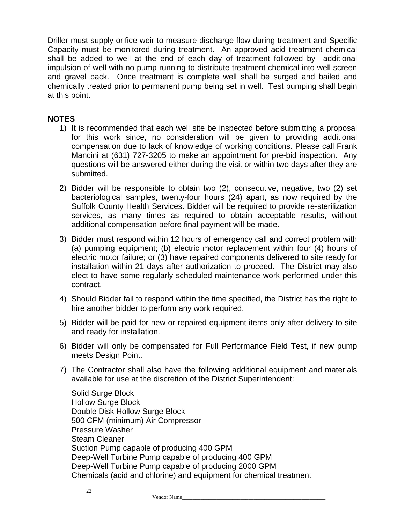Driller must supply orifice weir to measure discharge flow during treatment and Specific Capacity must be monitored during treatment. An approved acid treatment chemical shall be added to well at the end of each day of treatment followed by additional impulsion of well with no pump running to distribute treatment chemical into well screen and gravel pack. Once treatment is complete well shall be surged and bailed and chemically treated prior to permanent pump being set in well. Test pumping shall begin at this point.

#### **NOTES**

- 1) It is recommended that each well site be inspected before submitting a proposal for this work since, no consideration will be given to providing additional compensation due to lack of knowledge of working conditions. Please call Frank Mancini at (631) 727-3205 to make an appointment for pre-bid inspection. Any questions will be answered either during the visit or within two days after they are submitted.
- 2) Bidder will be responsible to obtain two (2), consecutive, negative, two (2) set bacteriological samples, twenty-four hours (24) apart, as now required by the Suffolk County Health Services. Bidder will be required to provide re-sterilization services, as many times as required to obtain acceptable results, without additional compensation before final payment will be made.
- 3) Bidder must respond within 12 hours of emergency call and correct problem with (a) pumping equipment; (b) electric motor replacement within four (4) hours of electric motor failure; or (3) have repaired components delivered to site ready for installation within 21 days after authorization to proceed. The District may also elect to have some regularly scheduled maintenance work performed under this contract.
- 4) Should Bidder fail to respond within the time specified, the District has the right to hire another bidder to perform any work required.
- 5) Bidder will be paid for new or repaired equipment items only after delivery to site and ready for installation.
- 6) Bidder will only be compensated for Full Performance Field Test, if new pump meets Design Point.
- 7) The Contractor shall also have the following additional equipment and materials available for use at the discretion of the District Superintendent:

Solid Surge Block Hollow Surge Block Double Disk Hollow Surge Block 500 CFM (minimum) Air Compressor Pressure Washer Steam Cleaner Suction Pump capable of producing 400 GPM Deep-Well Turbine Pump capable of producing 400 GPM Deep-Well Turbine Pump capable of producing 2000 GPM Chemicals (acid and chlorine) and equipment for chemical treatment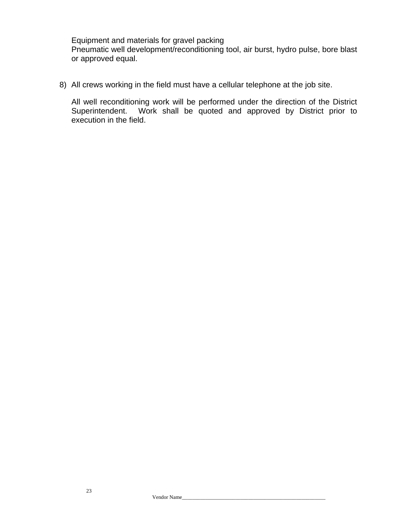Equipment and materials for gravel packing Pneumatic well development/reconditioning tool, air burst, hydro pulse, bore blast or approved equal.

8) All crews working in the field must have a cellular telephone at the job site.

All well reconditioning work will be performed under the direction of the District Superintendent. Work shall be quoted and approved by District prior to execution in the field.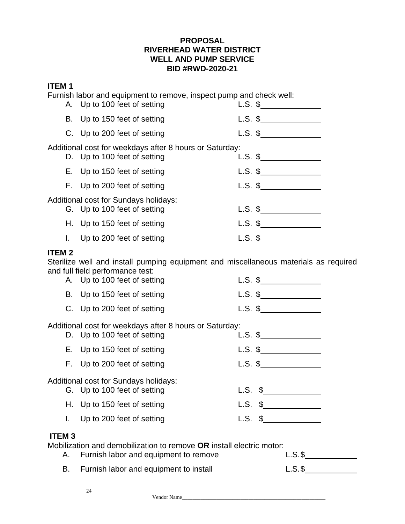#### **ITEM 1**

Furnish labor and equipment to remove, inspect pump and check well:

|              | A. Up to 100 feet of setting                                                                                             | $L.S.$ \$          |
|--------------|--------------------------------------------------------------------------------------------------------------------------|--------------------|
|              | B. Up to 150 feet of setting                                                                                             | $L.S.$ \$          |
|              | C. Up to 200 feet of setting                                                                                             | $L.S.$ \$          |
|              | Additional cost for weekdays after 8 hours or Saturday:<br>D. Up to 100 feet of setting                                  |                    |
|              | E. Up to 150 feet of setting                                                                                             | $L.S.$ \$          |
|              | F. Up to 200 feet of setting                                                                                             |                    |
|              | Additional cost for Sundays holidays:<br>G. Up to 100 feet of setting                                                    | $L.S.$ \$          |
|              | H. Up to 150 feet of setting                                                                                             | L.S. $\frac{1}{2}$ |
| L.           | Up to 200 feet of setting                                                                                                | $L.S.$ \$          |
| <b>ITEM2</b> | Sterilize well and install pumping equipment and miscellaneous materials as required<br>and full field performance test: |                    |
|              | A. Up to 100 feet of setting                                                                                             |                    |
|              | B. Up to 150 feet of setting                                                                                             |                    |
|              | C. Up to 200 feet of setting                                                                                             | $L.S.$ \$          |
|              | Additional cost for weekdays after 8 hours or Saturday:<br>D. Up to 100 feet of setting                                  |                    |
|              | E. Up to 150 feet of setting                                                                                             |                    |
|              | F. Up to 200 feet of setting                                                                                             |                    |
|              | Additional cost for Sundays holidays:<br>G. Up to 100 feet of setting                                                    | $L.S.$ \$          |
|              | H. Up to 150 feet of setting                                                                                             |                    |
|              | I. Up to 200 feet of setting                                                                                             | $L.S.$ \$          |
| <b>ITEM3</b> | sation on al along als ilisation to remove OD in atall also trip modern.                                                 |                    |

Mobilization and demobilization to remove **OR** install electric motor: A. Furnish labor and equipment to remove

Vendor Name\_\_\_\_\_\_\_\_\_\_\_\_\_\_\_\_\_\_\_\_\_\_\_\_\_\_\_\_\_\_\_\_\_\_\_\_\_\_\_\_\_\_\_\_\_\_\_\_\_\_\_\_\_\_

| ۰<br>$ \cdot$ $\cdot$ $\cdot$ |  |
|-------------------------------|--|
|                               |  |

B. Furnish labor and equipment to install L.S. \$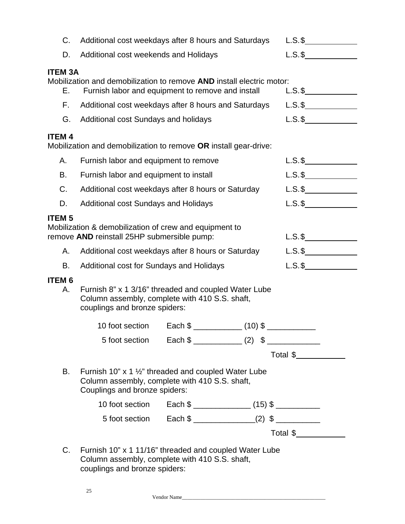| C.                      | Additional cost weekdays after 8 hours and Saturdays                                                                                               |                                                           | $L.S.$ \$  |  |
|-------------------------|----------------------------------------------------------------------------------------------------------------------------------------------------|-----------------------------------------------------------|------------|--|
| D.                      | Additional cost weekends and Holidays                                                                                                              |                                                           | $L.S.\$ \$ |  |
| <b>ITEM 3A</b><br>Е.    | Mobilization and demobilization to remove AND install electric motor:<br>Furnish labor and equipment to remove and install                         |                                                           | $L.S.$ \$  |  |
| F.                      | Additional cost weekdays after 8 hours and Saturdays                                                                                               |                                                           | $L.S.$ \$  |  |
| G.                      | Additional cost Sundays and holidays                                                                                                               |                                                           | $L.S.\$ \$ |  |
| <b>ITEM4</b>            |                                                                                                                                                    |                                                           |            |  |
|                         | Mobilization and demobilization to remove OR install gear-drive:                                                                                   |                                                           |            |  |
| Α.                      | Furnish labor and equipment to remove                                                                                                              |                                                           | $L.S.$ \$  |  |
| В.                      | Furnish labor and equipment to install                                                                                                             |                                                           | $L.S.$ \$  |  |
| $C$ .                   | Additional cost weekdays after 8 hours or Saturday                                                                                                 |                                                           | $L.S.\$ \$ |  |
| D.                      | <b>Additional cost Sundays and Holidays</b>                                                                                                        |                                                           | $L.S.\$ \$ |  |
| <b>ITEM<sub>5</sub></b> | Mobilization & demobilization of crew and equipment to<br>remove AND reinstall 25HP submersible pump:                                              |                                                           | $L.S.$ \$  |  |
| А.                      | Additional cost weekdays after 8 hours or Saturday                                                                                                 |                                                           | $L.S.\$ \$ |  |
| В.                      | Additional cost for Sundays and Holidays                                                                                                           |                                                           | $L.S.\$ \$ |  |
| <b>ITEM 6</b><br>А.     | Furnish 8" x 1 3/16" threaded and coupled Water Lube<br>Column assembly, complete with 410 S.S. shaft,<br>couplings and bronze spiders:            |                                                           |            |  |
|                         | 10 foot section                                                                                                                                    |                                                           |            |  |
|                         |                                                                                                                                                    |                                                           |            |  |
|                         |                                                                                                                                                    |                                                           | Total \$   |  |
| В.                      | Furnish 10" x 1 $\frac{1}{2}$ " threaded and coupled Water Lube<br>Column assembly, complete with 410 S.S. shaft,<br>Couplings and bronze spiders: |                                                           |            |  |
|                         |                                                                                                                                                    |                                                           |            |  |
|                         |                                                                                                                                                    | 5 foot section Each \$ _______________(2) \$ ____________ |            |  |
|                         |                                                                                                                                                    |                                                           | Total \$   |  |
|                         |                                                                                                                                                    |                                                           |            |  |
| C.                      | Furnish 10" x 1 11/16" threaded and coupled Water Lube<br>Column assembly, complete with 410 S.S. shaft,<br>couplings and bronze spiders:          |                                                           |            |  |

Vendor Name\_\_\_\_\_\_\_\_\_\_\_\_\_\_\_\_\_\_\_\_\_\_\_\_\_\_\_\_\_\_\_\_\_\_\_\_\_\_\_\_\_\_\_\_\_\_\_\_\_\_\_\_\_\_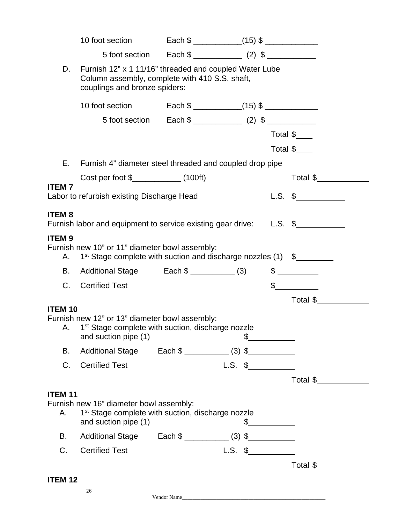|                                                        | 10 foot section                                                                                                                            | Each $\frac{1}{2}$ $(15)$ $\frac{1}{2}$ $(15)$ $\frac{1}{2}$ $(15)$ |                    |                                |  |
|--------------------------------------------------------|--------------------------------------------------------------------------------------------------------------------------------------------|---------------------------------------------------------------------|--------------------|--------------------------------|--|
|                                                        |                                                                                                                                            |                                                                     |                    |                                |  |
| D.                                                     | Furnish 12" x 1 11/16" threaded and coupled Water Lube<br>Column assembly, complete with 410 S.S. shaft,<br>couplings and bronze spiders:  |                                                                     |                    |                                |  |
|                                                        | 10 foot section                                                                                                                            |                                                                     |                    |                                |  |
|                                                        |                                                                                                                                            |                                                                     |                    |                                |  |
|                                                        |                                                                                                                                            |                                                                     |                    | Total $\frac{1}{2}$            |  |
|                                                        |                                                                                                                                            |                                                                     |                    | Total \$                       |  |
| Ε.                                                     | Furnish 4" diameter steel threaded and coupled drop pipe                                                                                   |                                                                     |                    |                                |  |
|                                                        |                                                                                                                                            |                                                                     |                    | Total \$                       |  |
| <b>ITEM7</b>                                           | Labor to refurbish existing Discharge Head                                                                                                 |                                                                     |                    | $L.S.$ \$                      |  |
|                                                        |                                                                                                                                            |                                                                     |                    |                                |  |
| <b>ITEM8</b>                                           | Furnish labor and equipment to service existing gear drive: L.S. \$                                                                        |                                                                     |                    |                                |  |
|                                                        | Furnish new 10" or 11" diameter bowl assembly:                                                                                             |                                                                     |                    |                                |  |
| Α.<br>В.<br>C.                                         | $1st$ Stage complete with suction and discharge nozzles (1) $\quad$<br>Additional Stage Each \$ ____________ (3)<br><b>Certified Test</b>  |                                                                     |                    | $\frac{1}{2}$<br>$\frac{1}{2}$ |  |
|                                                        |                                                                                                                                            |                                                                     |                    | Total \$__                     |  |
|                                                        | Furnish new 12" or 13" diameter bowl assembly:<br>A. 1 <sup>st</sup> Stage complete with suction, discharge nozzle<br>and suction pipe (1) |                                                                     |                    |                                |  |
| В.                                                     | Additional Stage Each \$ ___________ (3) \$                                                                                                |                                                                     |                    |                                |  |
| C.                                                     | <b>Certified Test</b>                                                                                                                      |                                                                     |                    |                                |  |
|                                                        |                                                                                                                                            |                                                                     |                    | Total \$                       |  |
| А.                                                     | Furnish new 16" diameter bowl assembly:<br>1 <sup>st</sup> Stage complete with suction, discharge nozzle<br>and suction pipe (1)           |                                                                     | $\frac{1}{2}$      |                                |  |
| В.                                                     | Additional Stage Each \$ ___________ (3) \$                                                                                                |                                                                     |                    |                                |  |
| <b>ITEM9</b><br><b>ITEM 10</b><br><b>ITEM 11</b><br>C. | <b>Certified Test</b>                                                                                                                      |                                                                     | L.S. $\frac{1}{2}$ |                                |  |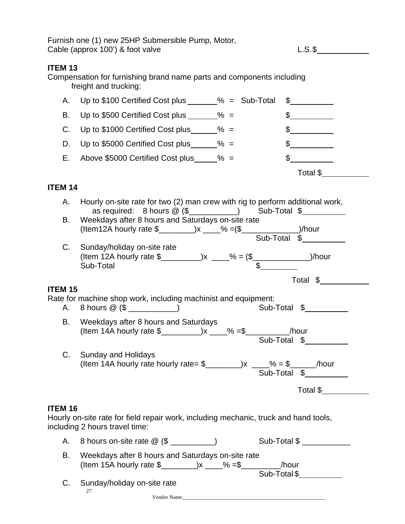Furnish one (1) new 25HP Submersible Pump, Motor, Cable (approx 100') & foot valve L.S. S.

# **ITEM 13**

Compensation for furnishing brand name parts and components including freight and trucking:

| A. Up to $$100$ Certified Cost plus $\_\_\_\_\_\$ =\ Sub-Total |  |          |  |
|----------------------------------------------------------------|--|----------|--|
| B. Up to \$500 Certified Cost plus $\frac{1}{2}$ % =           |  |          |  |
| C. Up to $$1000$ Certified Cost plus $\frac{1}{2}$ % =         |  |          |  |
| D. Up to \$5000 Certified Cost plus $\frac{1}{2}$ % =          |  |          |  |
| E. Above \$5000 Certified Cost plus $\% =$                     |  |          |  |
|                                                                |  | Total \$ |  |

# **ITEM 14**

| А.             | Hourly on-site rate for two (2) man crew with rig to perform additional work,<br>as required: 8 hours @ (\$__________) Sub-Total \$_________                                                                                                                                                                                                                       |              |
|----------------|--------------------------------------------------------------------------------------------------------------------------------------------------------------------------------------------------------------------------------------------------------------------------------------------------------------------------------------------------------------------|--------------|
| В.             | Weekdays after 8 hours and Saturdays on-site rate                                                                                                                                                                                                                                                                                                                  |              |
| $C_{\cdot}$    | Sunday/holiday on-site rate                                                                                                                                                                                                                                                                                                                                        |              |
|                |                                                                                                                                                                                                                                                                                                                                                                    | Total \$     |
| <b>ITEM 15</b> |                                                                                                                                                                                                                                                                                                                                                                    |              |
| A. .           | Rate for machine shop work, including machinist and equipment:<br>8 hours $@$ (\$ ____________)                                                                                                                                                                                                                                                                    | Sub-Total \$ |
| В.             | Weekdays after 8 hours and Saturdays                                                                                                                                                                                                                                                                                                                               | Sub-Total \$ |
| C.             | <b>Sunday and Holidays</b>                                                                                                                                                                                                                                                                                                                                         |              |
|                |                                                                                                                                                                                                                                                                                                                                                                    | Total \$     |
| <b>ITEM 16</b> | Hourly on-site rate for field repair work, including mechanic, truck and hand tools,<br>including 2 hours travel time:                                                                                                                                                                                                                                             |              |
| А.             |                                                                                                                                                                                                                                                                                                                                                                    | Sub-Total \$ |
| В.             | Weekdays after 8 hours and Saturdays on-site rate<br>(Item 15A hourly rate $\frac{1}{2}$ $\frac{1}{2}$ $\frac{1}{2}$ $\frac{1}{2}$ $\frac{1}{2}$ $\frac{1}{2}$ $\frac{1}{2}$ $\frac{1}{2}$ $\frac{1}{2}$ $\frac{1}{2}$ $\frac{1}{2}$ $\frac{1}{2}$ $\frac{1}{2}$ $\frac{1}{2}$ $\frac{1}{2}$ $\frac{1}{2}$ $\frac{1}{2}$ $\frac{1}{2}$ $\frac{1}{2}$ $\frac{1}{2}$ | Sub-Total \$ |
| C.             | Sunday/holiday on-site rate<br>27                                                                                                                                                                                                                                                                                                                                  |              |

Vendor Name\_\_\_\_\_\_\_\_\_\_\_\_\_\_\_\_\_\_\_\_\_\_\_\_\_\_\_\_\_\_\_\_\_\_\_\_\_\_\_\_\_\_\_\_\_\_\_\_\_\_\_\_\_\_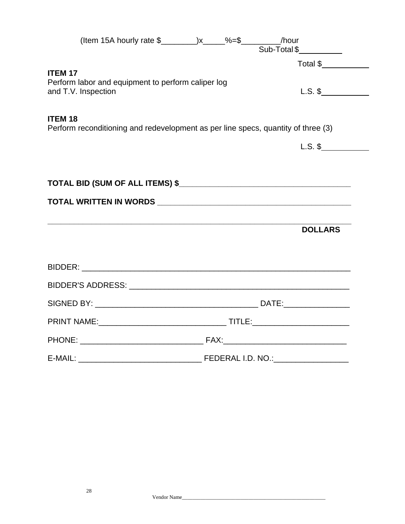|                | (Item 15A hourly rate \$__________)x_____%=\$__________/hour                                                         |  | Sub-Total \$ |                |
|----------------|----------------------------------------------------------------------------------------------------------------------|--|--------------|----------------|
|                |                                                                                                                      |  |              | Total \$       |
| <b>ITEM 17</b> | Perform labor and equipment to perform caliper log<br>and T.V. Inspection                                            |  |              | $L.S.$ \$      |
| <b>ITEM 18</b> | Perform reconditioning and redevelopment as per line specs, quantity of three (3)                                    |  |              |                |
|                |                                                                                                                      |  |              | $L.S.$ \$      |
|                |                                                                                                                      |  |              |                |
|                |                                                                                                                      |  |              |                |
|                |                                                                                                                      |  |              |                |
|                | <u> 1989 - Jan Samuel Barbara, marka a shekara ta 1989 - An tsara tsa a shekara tsa a shekara tsa a shekara tsa </u> |  |              | <b>DOLLARS</b> |
|                |                                                                                                                      |  |              |                |
|                |                                                                                                                      |  |              |                |
|                |                                                                                                                      |  |              |                |
|                |                                                                                                                      |  |              |                |
|                |                                                                                                                      |  |              |                |
|                |                                                                                                                      |  |              |                |